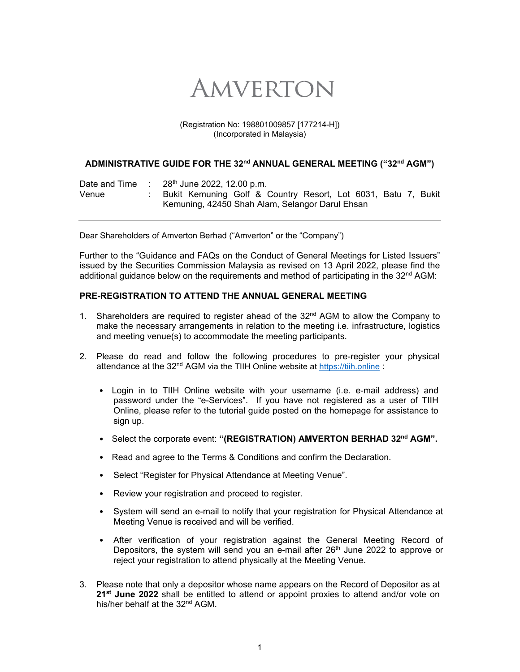# AMVERTON

#### (Registration No: 198801009857 [177214-H]) (Incorporated in Malaysia)

### ADMINISTRATIVE GUIDE FOR THE 32<sup>nd</sup> ANNUAL GENERAL MEETING ("32<sup>nd</sup> AGM")

| Date and Time | : 28 <sup>th</sup> June 2022, 12.00 p.m.                      |  |  |
|---------------|---------------------------------------------------------------|--|--|
| Venue         | Bukit Kemuning Golf & Country Resort, Lot 6031, Batu 7, Bukit |  |  |
|               | Kemuning, 42450 Shah Alam, Selangor Darul Ehsan               |  |  |

Dear Shareholders of Amverton Berhad ("Amverton" or the "Company")

Further to the "Guidance and FAQs on the Conduct of General Meetings for Listed Issuers" issued by the Securities Commission Malaysia as revised on 13 April 2022, please find the additional guidance below on the requirements and method of participating in the  $32^{\text{nd}}$  AGM:

### **PRE-REGISTRATION TO ATTEND THE ANNUAL GENERAL MEETING**

- 1. Shareholders are required to register ahead of the 32<sup>nd</sup> AGM to allow the Company to make the necessary arrangements in relation to the meeting i.e. infrastructure, logistics and meeting venue(s) to accommodate the meeting participants.
- 2. Please do read and follow the following procedures to pre-register your physical attendance at the 32<sup>nd</sup> AGM via the TIIH Online website at https://tiih.online :
	- Login in to TIIH Online website with your username (i.e. e-mail address) and password under the "e-Services". If you have not registered as a user of TIIH Online, please refer to the tutorial guide posted on the homepage for assistance to sign up.
	- Select the corporate event: **"(REGISTRATION) AMVERTON BERHAD 32nd AGM".**
	- Read and agree to the Terms & Conditions and confirm the Declaration.
	- Select "Register for Physical Attendance at Meeting Venue".
	- Review your registration and proceed to register.
	- System will send an e-mail to notify that your registration for Physical Attendance at Meeting Venue is received and will be verified.
	- After verification of your registration against the General Meeting Record of Depositors, the system will send you an e-mail after  $26<sup>th</sup>$  June 2022 to approve or reject your registration to attend physically at the Meeting Venue.
- 3. Please note that only a depositor whose name appears on the Record of Depositor as at **21st June 2022** shall be entitled to attend or appoint proxies to attend and/or vote on his/her behalf at the 32<sup>nd</sup> AGM